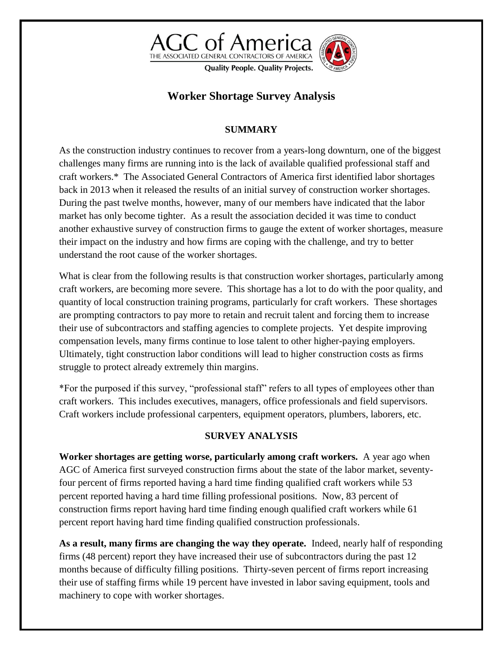

# **Worker Shortage Survey Analysis**

## **SUMMARY**

As the construction industry continues to recover from a years-long downturn, one of the biggest challenges many firms are running into is the lack of available qualified professional staff and craft workers.\* The Associated General Contractors of America first identified labor shortages back in 2013 when it released the results of an initial survey of construction worker shortages. During the past twelve months, however, many of our members have indicated that the labor market has only become tighter. As a result the association decided it was time to conduct another exhaustive survey of construction firms to gauge the extent of worker shortages, measure their impact on the industry and how firms are coping with the challenge, and try to better understand the root cause of the worker shortages.

What is clear from the following results is that construction worker shortages, particularly among craft workers, are becoming more severe. This shortage has a lot to do with the poor quality, and quantity of local construction training programs, particularly for craft workers. These shortages are prompting contractors to pay more to retain and recruit talent and forcing them to increase their use of subcontractors and staffing agencies to complete projects. Yet despite improving compensation levels, many firms continue to lose talent to other higher-paying employers. Ultimately, tight construction labor conditions will lead to higher construction costs as firms struggle to protect already extremely thin margins.

\*For the purposed if this survey, "professional staff" refers to all types of employees other than craft workers. This includes executives, managers, office professionals and field supervisors. Craft workers include professional carpenters, equipment operators, plumbers, laborers, etc.

### **SURVEY ANALYSIS**

**Worker shortages are getting worse, particularly among craft workers.** A year ago when AGC of America first surveyed construction firms about the state of the labor market, seventyfour percent of firms reported having a hard time finding qualified craft workers while 53 percent reported having a hard time filling professional positions. Now, 83 percent of construction firms report having hard time finding enough qualified craft workers while 61 percent report having hard time finding qualified construction professionals.

**As a result, many firms are changing the way they operate.** Indeed, nearly half of responding firms (48 percent) report they have increased their use of subcontractors during the past 12 months because of difficulty filling positions. Thirty-seven percent of firms report increasing their use of staffing firms while 19 percent have invested in labor saving equipment, tools and machinery to cope with worker shortages.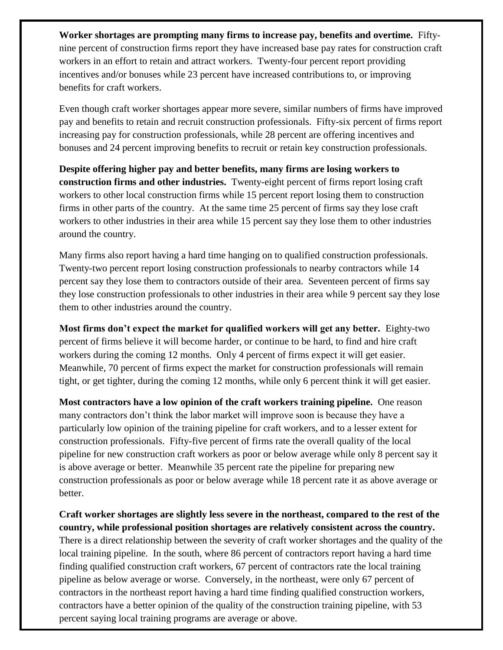**Worker shortages are prompting many firms to increase pay, benefits and overtime.** Fiftynine percent of construction firms report they have increased base pay rates for construction craft workers in an effort to retain and attract workers. Twenty-four percent report providing incentives and/or bonuses while 23 percent have increased contributions to, or improving benefits for craft workers.

Even though craft worker shortages appear more severe, similar numbers of firms have improved pay and benefits to retain and recruit construction professionals. Fifty-six percent of firms report increasing pay for construction professionals, while 28 percent are offering incentives and bonuses and 24 percent improving benefits to recruit or retain key construction professionals.

**Despite offering higher pay and better benefits, many firms are losing workers to construction firms and other industries.** Twenty-eight percent of firms report losing craft workers to other local construction firms while 15 percent report losing them to construction firms in other parts of the country. At the same time 25 percent of firms say they lose craft workers to other industries in their area while 15 percent say they lose them to other industries around the country.

Many firms also report having a hard time hanging on to qualified construction professionals. Twenty-two percent report losing construction professionals to nearby contractors while 14 percent say they lose them to contractors outside of their area. Seventeen percent of firms say they lose construction professionals to other industries in their area while 9 percent say they lose them to other industries around the country.

**Most firms don't expect the market for qualified workers will get any better.** Eighty-two percent of firms believe it will become harder, or continue to be hard, to find and hire craft workers during the coming 12 months. Only 4 percent of firms expect it will get easier. Meanwhile, 70 percent of firms expect the market for construction professionals will remain tight, or get tighter, during the coming 12 months, while only 6 percent think it will get easier.

**Most contractors have a low opinion of the craft workers training pipeline.** One reason many contractors don't think the labor market will improve soon is because they have a particularly low opinion of the training pipeline for craft workers, and to a lesser extent for construction professionals. Fifty-five percent of firms rate the overall quality of the local pipeline for new construction craft workers as poor or below average while only 8 percent say it is above average or better. Meanwhile 35 percent rate the pipeline for preparing new construction professionals as poor or below average while 18 percent rate it as above average or better.

**Craft worker shortages are slightly less severe in the northeast, compared to the rest of the country, while professional position shortages are relatively consistent across the country.** There is a direct relationship between the severity of craft worker shortages and the quality of the local training pipeline. In the south, where 86 percent of contractors report having a hard time finding qualified construction craft workers, 67 percent of contractors rate the local training pipeline as below average or worse. Conversely, in the northeast, were only 67 percent of contractors in the northeast report having a hard time finding qualified construction workers, contractors have a better opinion of the quality of the construction training pipeline, with 53 percent saying local training programs are average or above.